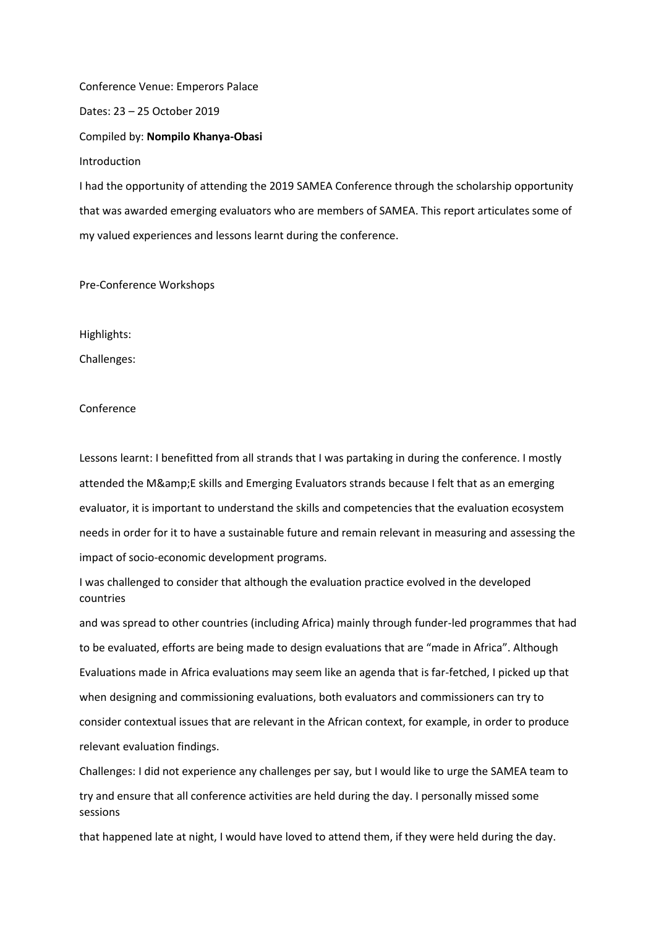Conference Venue: Emperors Palace

Dates: 23 – 25 October 2019

Compiled by: **Nompilo Khanya-Obasi**

Introduction

I had the opportunity of attending the 2019 SAMEA Conference through the scholarship opportunity that was awarded emerging evaluators who are members of SAMEA. This report articulates some of my valued experiences and lessons learnt during the conference.

Pre-Conference Workshops

Highlights:

Challenges:

## Conference

Lessons learnt: I benefitted from all strands that I was partaking in during the conference. I mostly attended the M&E skills and Emerging Evaluators strands because I felt that as an emerging evaluator, it is important to understand the skills and competencies that the evaluation ecosystem needs in order for it to have a sustainable future and remain relevant in measuring and assessing the impact of socio-economic development programs.

I was challenged to consider that although the evaluation practice evolved in the developed countries

and was spread to other countries (including Africa) mainly through funder-led programmes that had to be evaluated, efforts are being made to design evaluations that are "made in Africa". Although Evaluations made in Africa evaluations may seem like an agenda that is far-fetched, I picked up that when designing and commissioning evaluations, both evaluators and commissioners can try to consider contextual issues that are relevant in the African context, for example, in order to produce relevant evaluation findings.

Challenges: I did not experience any challenges per say, but I would like to urge the SAMEA team to try and ensure that all conference activities are held during the day. I personally missed some sessions

that happened late at night, I would have loved to attend them, if they were held during the day.